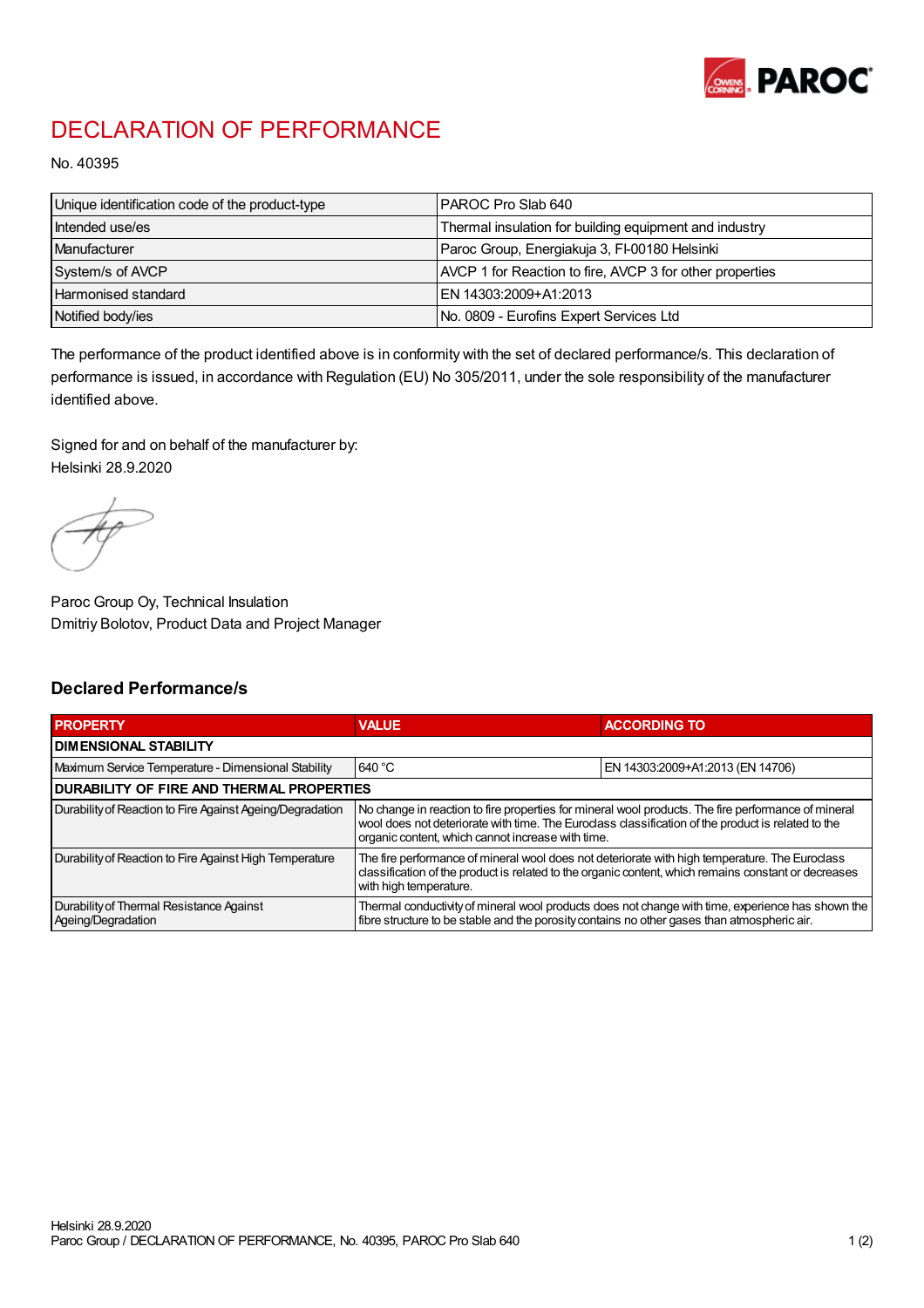

## DECLARATION OF PERFORMANCE

No. 40395

| Unique identification code of the product-type | IPAROC Pro Slab 640                                      |
|------------------------------------------------|----------------------------------------------------------|
| Intended use/es                                | Thermal insulation for building equipment and industry   |
| Manufacturer                                   | Paroc Group, Energiakuja 3, FI-00180 Helsinki            |
| System/s of AVCP                               | AVCP 1 for Reaction to fire, AVCP 3 for other properties |
| Harmonised standard                            | IEN 14303:2009+A1:2013                                   |
| Notified body/ies                              | No. 0809 - Eurofins Expert Services Ltd                  |

The performance of the product identified above is in conformity with the set of declared performance/s. This declaration of performance is issued, in accordance with Regulation (EU) No 305/2011, under the sole responsibility of the manufacturer identified above.

Signed for and on behalf of the manufacturer by: Helsinki 28.9.2020

Paroc Group Oy, Technical Insulation Dmitriy Bolotov, Product Data and Project Manager

## Declared Performance/s

| <b>PROPERTY</b>                                                | <b>VALUE</b>                                                                                                                                                                                                                                                   | <b>ACCORDING TO</b>              |  |
|----------------------------------------------------------------|----------------------------------------------------------------------------------------------------------------------------------------------------------------------------------------------------------------------------------------------------------------|----------------------------------|--|
| <b>DIMENSIONAL STABILITY</b>                                   |                                                                                                                                                                                                                                                                |                                  |  |
| Maximum Service Temperature - Dimensional Stability            | 640 °C                                                                                                                                                                                                                                                         | EN 14303:2009+A1:2013 (EN 14706) |  |
| <b>DURABILITY OF FIRE AND THERMAL PROPERTIES</b>               |                                                                                                                                                                                                                                                                |                                  |  |
| Durability of Reaction to Fire Against Ageing/Degradation      | No change in reaction to fire properties for mineral wool products. The fire performance of mineral<br>wool does not deteriorate with time. The Euroclass classification of the product is related to the<br>organic content, which cannot increase with time. |                                  |  |
| Durability of Reaction to Fire Against High Temperature        | The fire performance of mineral wool does not deteriorate with high temperature. The Euroclass<br>classification of the product is related to the organic content, which remains constant or decreases<br>with high temperature.                               |                                  |  |
| Durability of Thermal Resistance Against<br>Ageing/Degradation | Thermal conductivity of mineral wool products does not change with time, experience has shown the<br>fibre structure to be stable and the porosity contains no other gases than atmospheric air.                                                               |                                  |  |